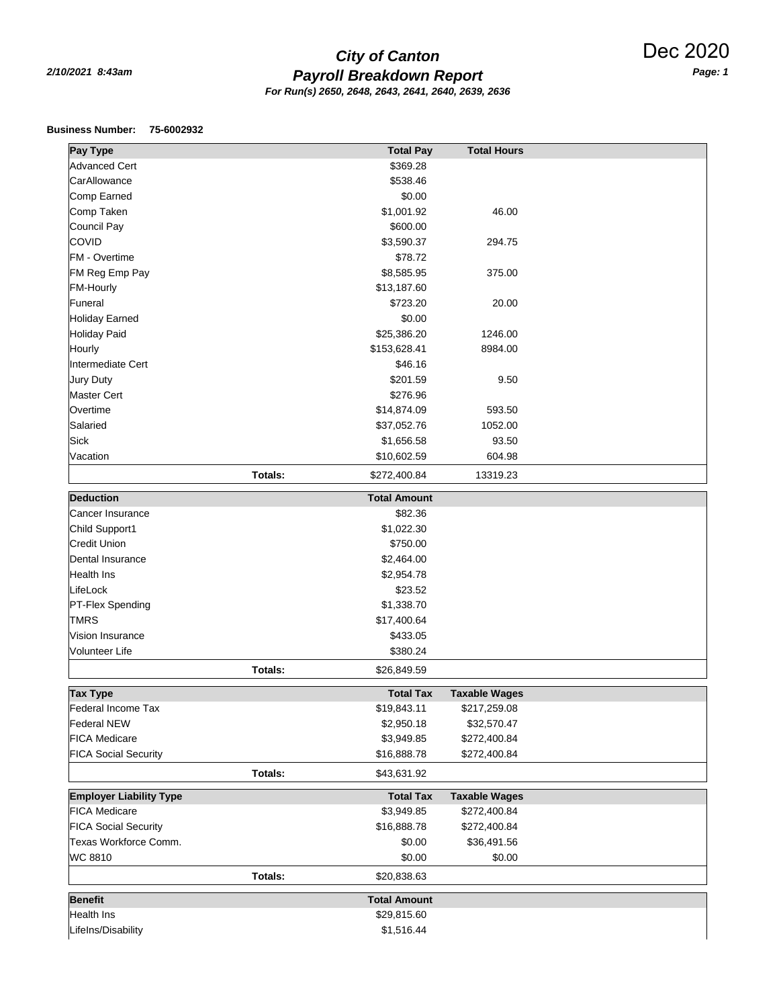## *Payroll Breakdown Report 2/10/2021 8:43am Page: 1 City of Canton For Run(s) 2650, 2648, 2643, 2641, 2640, 2639, 2636*

## **Business Number: 75-6002932**

| Pay Type                       | <b>Total Pay</b>        | <b>Total Hours</b>   |
|--------------------------------|-------------------------|----------------------|
| <b>Advanced Cert</b>           | \$369.28                |                      |
| CarAllowance                   | \$538.46                |                      |
| Comp Earned                    | \$0.00                  |                      |
| Comp Taken                     | \$1,001.92              | 46.00                |
| Council Pay                    | \$600.00                |                      |
| <b>COVID</b>                   | \$3,590.37              | 294.75               |
| <b>FM</b> - Overtime           | \$78.72                 |                      |
| FM Reg Emp Pay                 | \$8,585.95              | 375.00               |
| <b>FM-Hourly</b>               | \$13,187.60             |                      |
| Funeral                        | \$723.20                | 20.00                |
| <b>Holiday Earned</b>          | \$0.00                  |                      |
| <b>Holiday Paid</b>            | \$25,386.20             | 1246.00              |
| Hourly                         | \$153,628.41            | 8984.00              |
| Intermediate Cert              | \$46.16                 |                      |
| Jury Duty                      | \$201.59                | 9.50                 |
| <b>Master Cert</b>             | \$276.96                |                      |
| Overtime                       | \$14,874.09             | 593.50               |
| Salaried                       | \$37,052.76             | 1052.00              |
| Sick                           | \$1,656.58              | 93.50                |
| Vacation                       | \$10,602.59             | 604.98               |
|                                |                         |                      |
|                                | Totals:<br>\$272,400.84 | 13319.23             |
| <b>Deduction</b>               | <b>Total Amount</b>     |                      |
| Cancer Insurance               | \$82.36                 |                      |
| Child Support1                 | \$1,022.30              |                      |
| <b>Credit Union</b>            | \$750.00                |                      |
| Dental Insurance               | \$2,464.00              |                      |
| <b>Health Ins</b>              | \$2,954.78              |                      |
| LifeLock                       | \$23.52                 |                      |
| PT-Flex Spending               | \$1,338.70              |                      |
| <b>TMRS</b>                    | \$17,400.64             |                      |
| Vision Insurance               | \$433.05                |                      |
| Volunteer Life                 | \$380.24                |                      |
|                                | Totals:<br>\$26,849.59  |                      |
|                                |                         |                      |
| <b>Tax Type</b>                | <b>Total Tax</b>        | <b>Taxable Wages</b> |
| Federal Income Tax             | \$19,843.11             | \$217,259.08         |
| <b>Federal NEW</b>             | \$2,950.18              | \$32,570.47          |
| <b>FICA Medicare</b>           | \$3,949.85              | \$272,400.84         |
| <b>FICA Social Security</b>    | \$16,888.78             | \$272,400.84         |
|                                | Totals:<br>\$43,631.92  |                      |
| <b>Employer Liability Type</b> | <b>Total Tax</b>        | <b>Taxable Wages</b> |
| <b>FICA Medicare</b>           | \$3,949.85              | \$272,400.84         |
| <b>FICA Social Security</b>    | \$16,888.78             | \$272,400.84         |
| Texas Workforce Comm.          | \$0.00                  | \$36,491.56          |
| WC 8810                        | \$0.00                  | \$0.00               |
|                                | Totals:<br>\$20,838.63  |                      |
|                                |                         |                      |
| <b>Benefit</b>                 | <b>Total Amount</b>     |                      |
| Health Ins                     | \$29,815.60             |                      |
| Lifelns/Disability             | \$1,516.44              |                      |